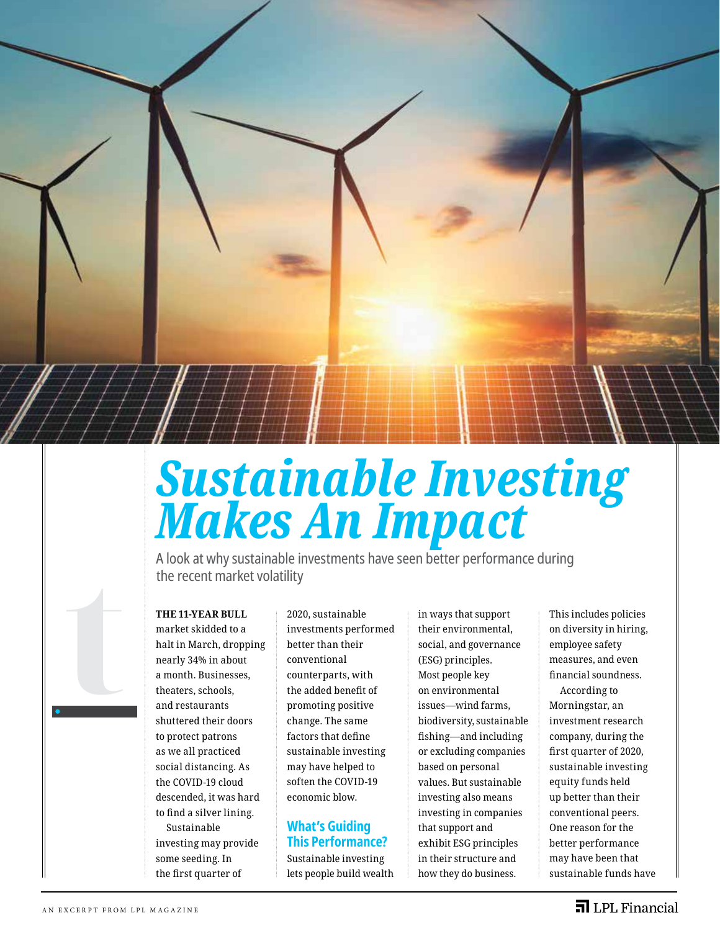

# *Sustainable Investing Makes An Impact*

A look at why sustainable investments have seen better performance during the recent market volatility

### **THE 11-YEAR BULL**

market skidded to a halt in March, dropping nearly 34% in about a month. Businesses, theaters, schools, and restaurants shuttered their doors to protect patrons as we all practiced social distancing. As the COVID-19 cloud descended, it was hard to find a silver lining. Sustainable investing may provide some seeding. In the first quarter of

2020, sustainable investments performed better than their conventional counterparts, with the added benefit of promoting positive change. The same factors that define sustainable investing may have helped to soften the COVID-19 economic blow.

# **What's Guiding This Performance?**

Sustainable investing lets people build wealth in ways that support their environmental, social, and governance (ESG) principles. Most people key on environmental issues—wind farms, biodiversity, sustainable fishing—and including or excluding companies based on personal values. But sustainable investing also means investing in companies that support and exhibit ESG principles in their structure and how they do business.

This includes policies on diversity in hiring, employee safety measures, and even financial soundness. According to Morningstar, an investment research company, during the first quarter of 2020, sustainable investing equity funds held up better than their conventional peers. One reason for the better performance may have been that sustainable funds have

**t**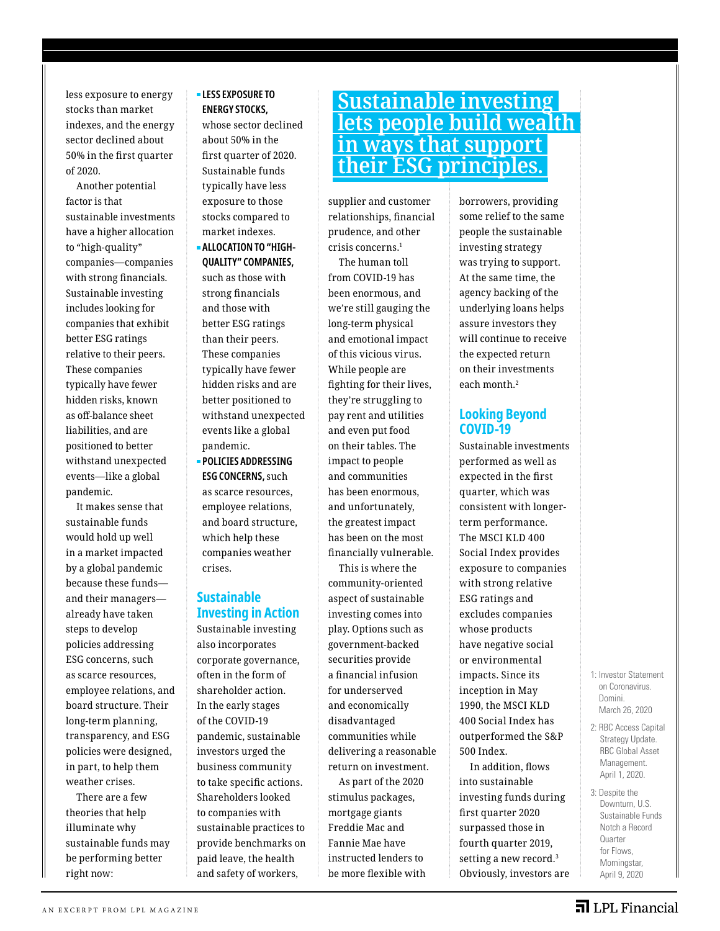less exposure to energy stocks than market indexes, and the energy sector declined about 50% in the first quarter of 2020.

Another potential factor is that sustainable investments have a higher allocation to "high-quality" companies—companies with strong financials. Sustainable investing includes looking for companies that exhibit better ESG ratings relative to their peers. These companies typically have fewer hidden risks, known as off-balance sheet liabilities, and are positioned to better withstand unexpected events—like a global pandemic.

It makes sense that sustainable funds would hold up well in a market impacted by a global pandemic because these funds and their managers already have taken steps to develop policies addressing ESG concerns, such as scarce resources, employee relations, and board structure. Their long-term planning, transparency, and ESG policies were designed, in part, to help them weather crises.

There are a few theories that help illuminate why sustainable funds may be performing better right now:

### **LESS EXPOSURE TO ENERGY STOCKS,**

whose sector declined about 50% in the first quarter of 2020. Sustainable funds typically have less exposure to those stocks compared to market indexes.

- **ALLOCATION TO "HIGH-QUALITY" COMPANIES,**  such as those with strong financials and those with better ESG ratings than their peers. These companies typically have fewer hidden risks and are better positioned to withstand unexpected events like a global pandemic.
- **POLICIES ADDRESSING ESG CONCERNS,** such as scarce resources, employee relations, and board structure, which help these companies weather crises.

## **Sustainable Investing in Action**

Sustainable investing also incorporates corporate governance, often in the form of shareholder action. In the early stages of the COVID-19 pandemic, sustainable investors urged the business community to take specific actions. Shareholders looked to companies with sustainable practices to provide benchmarks on paid leave, the health

and safety of workers,

# **Sustainable investing lets people build wealth in ways that support their ESG principles.**

supplier and customer relationships, financial prudence, and other crisis concerns.1

The human toll from COVID-19 has been enormous, and we're still gauging the long-term physical and emotional impact of this vicious virus. While people are fighting for their lives, they're struggling to pay rent and utilities and even put food on their tables. The impact to people and communities has been enormous, and unfortunately, the greatest impact has been on the most financially vulnerable.

This is where the community-oriented aspect of sustainable investing comes into play. Options such as government-backed securities provide a financial infusion for underserved and economically disadvantaged communities while delivering a reasonable return on investment.

As part of the 2020 stimulus packages, mortgage giants Freddie Mac and Fannie Mae have instructed lenders to be more flexible with borrowers, providing some relief to the same people the sustainable investing strategy was trying to support. At the same time, the agency backing of the underlying loans helps assure investors they will continue to receive the expected return on their investments each month.2

### **Looking Beyond COVID-19**

Sustainable investments performed as well as expected in the first quarter, which was consistent with longerterm performance. The MSCI KLD 400 Social Index provides exposure to companies with strong relative ESG ratings and excludes companies whose products have negative social or environmental impacts. Since its inception in May 1990, the MSCI KLD 400 Social Index has outperformed the S&P 500 Index.

In addition, flows into sustainable investing funds during first quarter 2020 surpassed those in fourth quarter 2019, setting a new record.<sup>3</sup> Obviously, investors are 1: Investor Statement on Coronavirus. Domini. March 26, 2020

- 2: RBC Access Capital Strategy Update. RBC Global Asset Management. April 1, 2020.
- 3: Despite the Downturn, U.S. Sustainable Funds Notch a Record Quarter for Flows, Morningstar, April 9, 2020